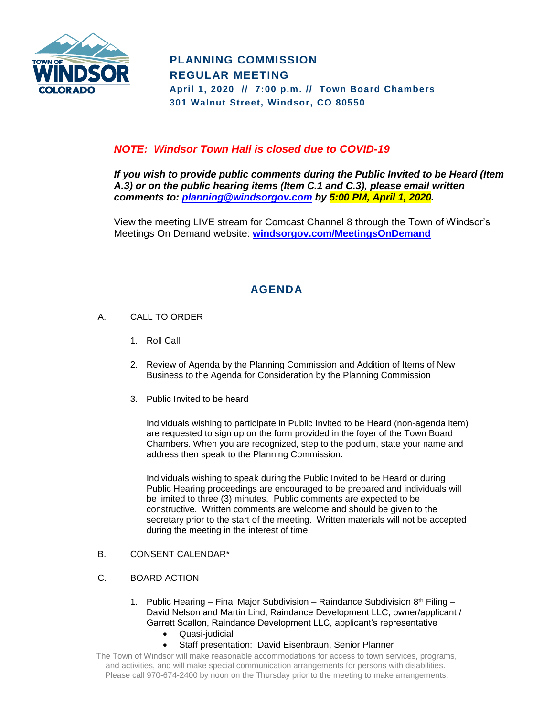

# **PLANNING COMMISSION REGULAR MEETING April 1, 2020 // 7:00 p.m. // Town Board Chambers**

**301 Walnut Street, Windsor, CO 80550**

## *NOTE: Windsor Town Hall is closed due to COVID-19*

*If you wish to provide public comments during the Public Invited to be Heard (Item A.3) or on the public hearing items (Item C.1 and C.3), please email written comments to: [planning@windsorgov.com](mailto:planning@windsorgov.com) by 5:00 PM, April 1, 2020.*

View the meeting LIVE stream for Comcast Channel 8 through the Town of Windsor's Meetings On Demand website: **[windsorgov.com/MeetingsOnDemand](https://www.windsorgov.com/813/Meetings-on-Demand)**

# **AGENDA**

- A. CALL TO ORDER
	- 1. Roll Call
	- 2. Review of Agenda by the Planning Commission and Addition of Items of New Business to the Agenda for Consideration by the Planning Commission
	- 3. Public Invited to be heard

Individuals wishing to participate in Public Invited to be Heard (non-agenda item) are requested to sign up on the form provided in the foyer of the Town Board Chambers. When you are recognized, step to the podium, state your name and address then speak to the Planning Commission.

Individuals wishing to speak during the Public Invited to be Heard or during Public Hearing proceedings are encouraged to be prepared and individuals will be limited to three (3) minutes. Public comments are expected to be constructive. Written comments are welcome and should be given to the secretary prior to the start of the meeting. Written materials will not be accepted during the meeting in the interest of time.

### B. CONSENT CALENDAR\*

### C. BOARD ACTION

- 1. Public Hearing Final Major Subdivision Raindance Subdivision  $8<sup>th</sup>$  Filing David Nelson and Martin Lind, Raindance Development LLC, owner/applicant / Garrett Scallon, Raindance Development LLC, applicant's representative
	- Quasi-judicial
	- Staff presentation: David Eisenbraun, Senior Planner

The Town of Windsor will make reasonable accommodations for access to town services, programs, and activities, and will make special communication arrangements for persons with disabilities. Please call 970-674-2400 by noon on the Thursday prior to the meeting to make arrangements.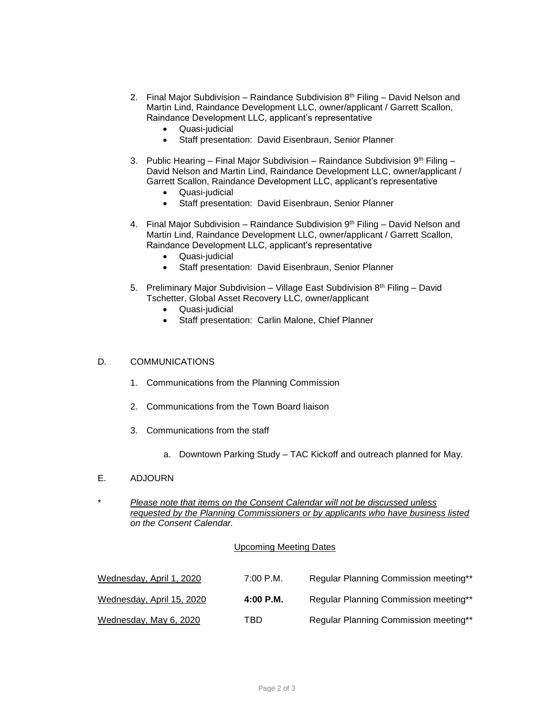- 2. Final Major Subdivision Raindance Subdivision  $8<sup>th</sup>$  Filing David Nelson and Martin Lind, Raindance Development LLC, owner/applicant / Garrett Scallon, Raindance Development LLC, applicant's representative
	- Quasi-judicial
	- Staff presentation: David Eisenbraun, Senior Planner
- 3. Public Hearing Final Major Subdivision Raindance Subdivision  $9<sup>th</sup>$  Filing David Nelson and Martin Lind, Raindance Development LLC, owner/applicant / Garrett Scallon, Raindance Development LLC, applicant's representative
	- Quasi-judicial
	- Staff presentation: David Eisenbraun, Senior Planner
- 4. Final Major Subdivision Raindance Subdivision  $9<sup>th</sup>$  Filing David Nelson and Martin Lind, Raindance Development LLC, owner/applicant / Garrett Scallon, Raindance Development LLC, applicant's representative
	- Quasi-judicial
	- Staff presentation: David Eisenbraun, Senior Planner
- 5. Preliminary Major Subdivision Village East Subdivision  $8<sup>th</sup>$  Filing David Tschetter, Global Asset Recovery LLC, owner/applicant
	- Quasi-judicial
	- Staff presentation: Carlin Malone, Chief Planner

#### D. COMMUNICATIONS

- 1. Communications from the Planning Commission
- 2. Communications from the Town Board liaison
- 3. Communications from the staff
	- a. Downtown Parking Study TAC Kickoff and outreach planned for May.
- E. ADJOURN
- \* *Please note that items on the Consent Calendar will not be discussed unless requested by the Planning Commissioners or by applicants who have business listed on the Consent Calendar.*

#### Upcoming Meeting Dates

| Wednesday, April 1, 2020  | $7:00$ P.M. | Regular Planning Commission meeting** |
|---------------------------|-------------|---------------------------------------|
| Wednesday, April 15, 2020 | $4:00$ P.M. | Regular Planning Commission meeting** |
| Wednesday, May 6, 2020    | TBD.        | Regular Planning Commission meeting** |